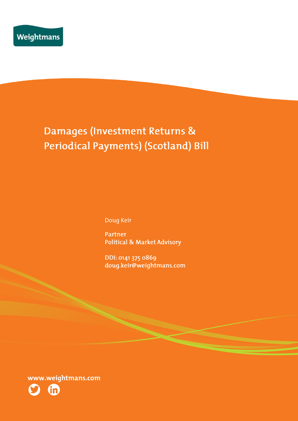# Damages (Investment Returns & Periodical Payments) (Scotland) Bill

Doug Keir

Partner **Political & Market Advisory** 

DDI: 0141 375 0869 doug.keir@weightmans.com

www.weightmans.com

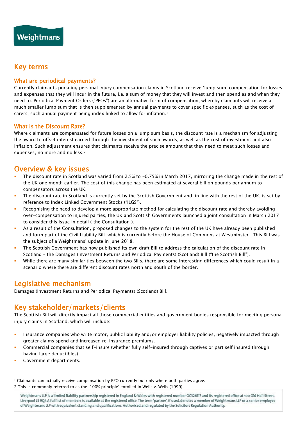# Key terms

#### What are periodical payments?

Currently claimants pursuing personal injury compensation claims in Scotland receive 'lump sum' compensation for losses and expenses that they will incur in the future, i.e. a sum of money that they will invest and then spend as and when they need to. Periodical Payment Orders ("PPOs") are an alternative form of compensation, whereby claimants will receive a much smaller lump sum that is then supplemented by annual payments to cover specific expenses, such as the cost of carers, such annual payment being index linked to allow for inflation.<sup>1</sup>

#### What is the Discount Rate?

Where claimants are compensated for future losses on a lump sum basis, the discount rate is a mechanism for adjusting the award to offset interest earned through the investment of such awards, as well as the cost of investment and also inflation. Such adjustment ensures that claimants receive the precise amount that they need to meet such losses and expenses, no more and no less.<sup>2</sup>

# Overview & key issues

- The discount rate in Scotland was varied from 2.5% to -0.75% in March 2017, mirroring the change made in the rest of the UK one month earlier. The cost of this change has been estimated at several billion pounds per annum to compensators across the UK.
- The discount rate in Scotland is currently set by the Scottish Government and, in line with the rest of the UK, is set by reference to Index Linked Government Stocks ("ILGS").
- Recognising the need to develop a more appropriate method for calculating the discount rate and thereby avoiding over-compensation to injured parties, the UK and Scottish Governments launched a joint consultation in March 2017 to consider this issue in detail ("the Consultation").
- As a result of the Consultation, proposed changes to the system for the rest of the UK have already been published and form part of the Civil Liability Bill which is currently before the House of Commons at Westminster. This Bill was the subject of a Weightmans' update in June 2018.
- The Scottish Government has now published its own draft Bill to address the calculation of the discount rate in Scotland – the Damages (Investment Returns and Periodical Payments) (Scotland) Bill ("the Scottish Bill").
- While there are many similarities between the two Bills, there are some interesting differences which could result in a scenario where there are different discount rates north and south of the border.

# Legislative mechanism

Damages (Investment Returns and Periodical Payments) (Scotland) Bill.

# Key stakeholder/markets/clients

The Scottish Bill will directly impact all those commercial entities and government bodies responsible for meeting personal injury claims in Scotland, which will include:

- Insurance companies who write motor, public liability and/or employer liability policies, negatively impacted through greater claims spend and increased re-insurance premiums.
- Commercial companies that self-insure (whether fully self-insured through captives or part self insured through having large deductibles).
- Government departments.

 $\overline{a}$ 

<sup>1</sup> Claimants can actually receive compensation by PPO currently but only where both parties agree.

<sup>2</sup> This is commonly referred to as the '100% principle' extolled in Wells v. Wells (1999).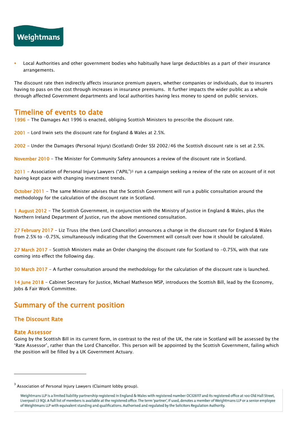

 Local Authorities and other government bodies who habitually have large deductibles as a part of their insurance arrangements.

The discount rate then indirectly affects insurance premium payers, whether companies or individuals, due to insurers having to pass on the cost through increases in insurance premiums. It further impacts the wider public as a whole through affected Government departments and local authorities having less money to spend on public services.

### Timeline of events to date

1996 - The Damages Act 1996 is enacted, obliging Scottish Ministers to prescribe the discount rate.

2001 - Lord Irwin sets the discount rate for England & Wales at 2.5%.

2002 - Under the Damages (Personal Injury) (Scotland) Order SSI 2002/46 the Scottish discount rate is set at 2.5%.

November 2010 - The Minister for Community Safety announces a review of the discount rate in Scotland.

2011 - Association of Personal Injury Lawyers ("APIL")<sup>3</sup> run a campaign seeking a review of the rate on account of it not having kept pace with changing investment trends.

October 2011 - The same Minister advises that the Scottish Government will run a public consultation around the methodology for the calculation of the discount rate in Scotland.

1 August 2012 - The Scottish Government, in conjunction with the Ministry of Justice in England & Wales, plus the Northern Ireland Department of Justice, run the above mentioned consultation.

27 February 2017 - Liz Truss (the then Lord Chancellor) announces a change in the discount rate for England & Wales from 2.5% to -0.75%, simultaneously indicating that the Government will consult over how it should be calculated.

27 March 2017 - Scottish Ministers make an Order changing the discount rate for Scotland to -0.75%, with that rate coming into effect the following day.

30 March 2017 - A further consultation around the methodology for the calculation of the discount rate is launched.

14 June 2018 - Cabinet Secretary for Justice, Michael Matheson MSP, introduces the Scottish Bill, lead by the Economy, Jobs & Fair Work Committee.

# Summary of the current position

#### The Discount Rate

#### Rate Assessor

 $\overline{a}$ 

Going by the Scottish Bill in its current form, in contrast to the rest of the UK, the rate in Scotland will be assessed by the 'Rate Assessor', rather than the Lord Chancellor. This person will be appointed by the Scottish Government, failing which the position will be filled by a UK Government Actuary.

 $^3$  Association of Personal Injury Lawyers (Claimant lobby group).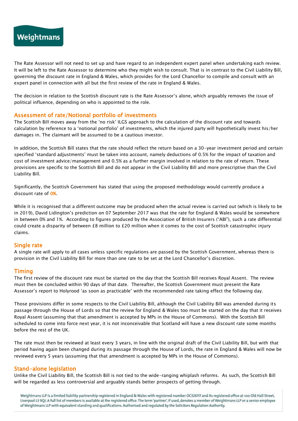

The Rate Assessor will not need to set up and have regard to an independent expert panel when undertaking each review. It will be left to the Rate Assessor to determine who they might wish to consult. That is in contrast to the Civil Liability Bill, governing the discount rate in England & Wales, which provides for the Lord Chancellor to compile and consult with an expert panel in connection with all but the first review of the rate in England & Wales.

The decision in relation to the Scottish discount rate is the Rate Assessor's alone, which arguably removes the issue of political influence, depending on who is appointed to the role.

#### Assessment of rate/Notional portfolio of investments

The Scottish Bill moves away from the 'no risk' ILGS approach to the calculation of the discount rate and towards calculation by reference to a 'notional portfolio' of investments, which the injured party will hypothetically invest his/her damages in. The claimant will be assumed to be a cautious investor.

In addition, the Scottish Bill states that the rate should reflect the return based on a 30-year investment period and certain specified 'standard adjustments' must be taken into account, namely deductions of 0.5% for the impact of taxation and cost of investment advice/management and 0.5% as a further margin involved in relation to the rate of return. These provisions are specific to the Scottish Bill and do not appear in the Civil Liability Bill and more prescriptive than the Civil Liability Bill.

Significantly, the Scottish Government has stated that using the proposed methodology would currently produce a discount rate of 0%.

While it is recognised that a different outcome may be produced when the actual review is carried out (which is likely to be in 2019), David Lidington's prediction on 07 September 2017 was that the rate for England & Wales would be somewhere in between 0% and 1%. According to figures produced by the Association of British Insurers ("ABI"), such a rate differential could create a disparity of between £8 million to £20 million when it comes to the cost of Scottish catastrophic injury claims.

#### Single rate

A single rate will apply to all cases unless specific regulations are passed by the Scottish Government, whereas there is provision in the Civil Liability Bill for more than one rate to be set at the Lord Chancellor's discretion.

#### Timing

The first review of the discount rate must be started on the day that the Scottish Bill receives Royal Assent. The review must then be concluded within 90 days of that date. Thereafter, the Scottish Government must present the Rate Assessor's report to Holyrood 'as soon as practicable' with the recommended rate taking effect the following day.

Those provisions differ in some respects to the Civil Liability Bill, although the Civil Liability Bill was amended during its passage through the House of Lords so that the review for England & Wales too must be started on the day that it receives Royal Assent (assuming that that amendment is accepted by MPs in the House of Commons). With the Scottish Bill scheduled to come into force next year, it is not inconceivable that Scotland will have a new discount rate some months before the rest of the UK.

The rate must then be reviewed at least every 3 years, in line with the original draft of the Civil Liability Bill, but with that period having again been changed during its passage through the House of Lords, the rate in England & Wales will now be reviewed every 5 years (assuming that that amendment is accepted by MPs in the House of Commons).

#### Stand-alone legislation

Unlike the Civil Liability Bill, the Scottish Bill is not tied to the wide-ranging whiplash reforms. As such, the Scottish Bill will be regarded as less controversial and arguably stands better prospects of getting through.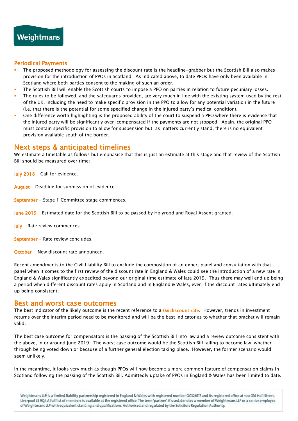#### Periodical Payments

- The proposed methodology for assessing the discount rate is the headline-grabber but the Scottish Bill also makes provision for the introduction of PPOs in Scotland. As indicated above, to date PPOs have only been available in Scotland where both parties consent to the making of such an order.
- The Scottish Bill will enable the Scottish courts to impose a PPO on parties in relation to future pecuniary losses.
- The rules to be followed, and the safeguards provided, are very much in line with the existing system used by the rest of the UK, including the need to make specific provision in the PPO to allow for any potential variation in the future (i.e. that there is the potential for some specified change in the injured party's medical condition).
- One difference worth highlighting is the proposed ability of the court to suspend a PPO where there is evidence that the injured party will be significantly over-compensated if the payments are not stopped. Again, the original PPO must contain specific provision to allow for suspension but, as matters currently stand, there is no equivalent provision available south of the border.

# Next steps & anticipated timelines

We estimate a timetable as follows but emphasise that this is just an estimate at this stage and that review of the Scottish Bill should be measured over time:

July 2018 - Call for evidence.

August - Deadline for submission of evidence.

September - Stage 1 Committee stage commences.

- June 2019 Estimated date for the Scottish Bill to be passed by Holyrood and Royal Assent granted.
- July Rate review commences.

September - Rate review concludes.

October - New discount rate announced.

Recent amendments to the Civil Liability Bill to exclude the composition of an expert panel and consultation with that panel when it comes to the first review of the discount rate in England & Wales could see the introduction of a new rate in England & Wales significantly expedited beyond our original time estimate of late 2019. Thus there may well end up being a period when different discount rates apply in Scotland and in England & Wales, even if the discount rates ultimately end up being consistent.

### Best and worst case outcomes

The best indicator of the likely outcome is the recent reference to a  $0\%$  discount rate. However, trends in investment returns over the interim period need to be monitored and will be the best indicator as to whether that bracket will remain valid.

The best case outcome for compensators is the passing of the Scottish Bill into law and a review outcome consistent with the above, in or around June 2019. The worst case outcome would be the Scottish Bill failing to become law, whether through being voted down or because of a further general election taking place. However, the former scenario would seem unlikely.

In the meantime, it looks very much as though PPOs will now become a more common feature of compensation claims in Scotland following the passing of the Scottish Bill. Admittedly uptake of PPOs in England & Wales has been limited to date.